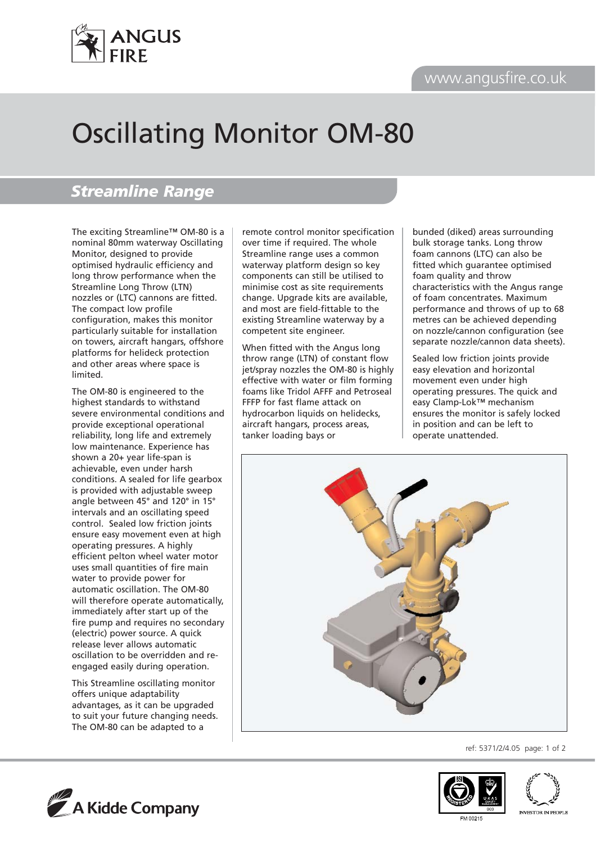## www.angusfire.co.uk



# Oscillating Monitor OM-80

## *Streamline Range*

The exciting Streamline™ OM-80 is a nominal 80mm waterway Oscillating Monitor, designed to provide optimised hydraulic efficiency and long throw performance when the Streamline Long Throw (LTN) nozzles or (LTC) cannons are fitted. The compact low profile configuration, makes this monitor particularly suitable for installation on towers, aircraft hangars, offshore platforms for helideck protection and other areas where space is limited.

The OM-80 is engineered to the highest standards to withstand severe environmental conditions and provide exceptional operational reliability, long life and extremely low maintenance. Experience has shown a 20+ year life-span is achievable, even under harsh conditions. A sealed for life gearbox is provided with adjustable sweep angle between 45° and 120° in 15° intervals and an oscillating speed control. Sealed low friction joints ensure easy movement even at high operating pressures. A highly efficient pelton wheel water motor uses small quantities of fire main water to provide power for automatic oscillation. The OM-80 will therefore operate automatically, immediately after start up of the fire pump and requires no secondary (electric) power source. A quick release lever allows automatic oscillation to be overridden and reengaged easily during operation.

This Streamline oscillating monitor offers unique adaptability advantages, as it can be upgraded to suit your future changing needs. The OM-80 can be adapted to a

remote control monitor specification over time if required. The whole Streamline range uses a common waterway platform design so key components can still be utilised to minimise cost as site requirements change. Upgrade kits are available, and most are field-fittable to the existing Streamline waterway by a competent site engineer.

When fitted with the Angus long throw range (LTN) of constant flow jet/spray nozzles the OM-80 is highly effective with water or film forming foams like Tridol AFFF and Petroseal FFFP for fast flame attack on hydrocarbon liquids on helidecks, aircraft hangars, process areas, tanker loading bays or

bunded (diked) areas surrounding bulk storage tanks. Long throw foam cannons (LTC) can also be fitted which guarantee optimised foam quality and throw characteristics with the Angus range of foam concentrates. Maximum performance and throws of up to 68 metres can be achieved depending on nozzle/cannon configuration (see separate nozzle/cannon data sheets).

Sealed low friction joints provide easy elevation and horizontal movement even under high operating pressures. The quick and easy Clamp-Lok™ mechanism ensures the monitor is safely locked in position and can be left to operate unattended.



ref: 5371/2/4.05 page: 1 of 2